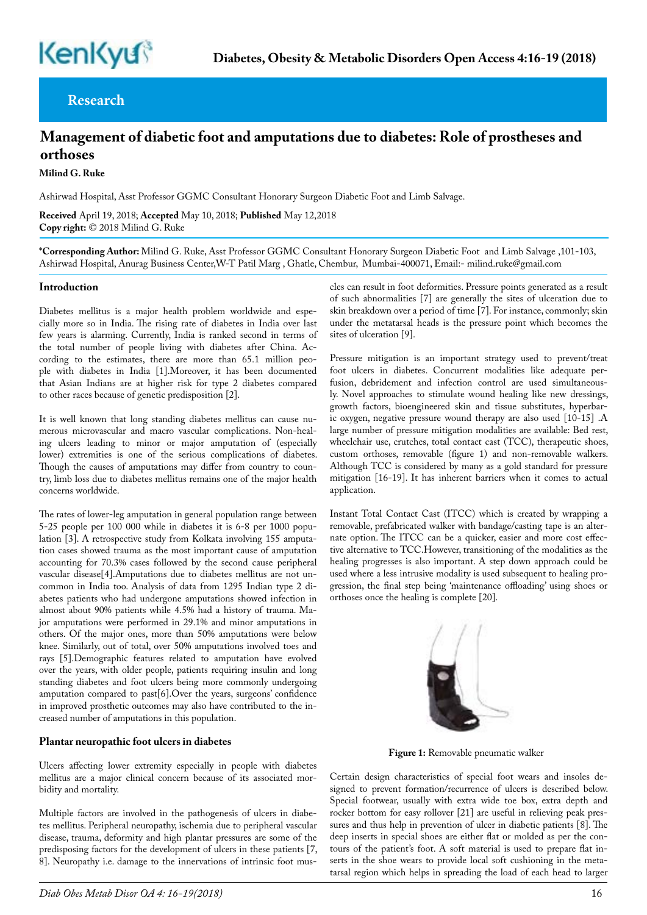## **Research**

# **Management of diabetic foot and amputations due to diabetes: Role of prostheses and orthoses**

**Milind G. Ruke** 

Ashirwad Hospital, Asst Professor GGMC Consultant Honorary Surgeon Diabetic Foot and Limb Salvage.

**Received** April 19, 2018; **Accepted** May 10, 2018; **Published** May 12,2018 **Copy right:** © 2018 Milind G. Ruke

**\*Corresponding Author:** Milind G. Ruke, Asst Professor GGMC Consultant Honorary Surgeon Diabetic Foot and Limb Salvage ,101-103, Ashirwad Hospital, Anurag Business Center,W-T Patil Marg , Ghatle, Chembur, Mumbai-400071, Email:- milind.ruke@gmail.com

#### **Introduction**

Diabetes mellitus is a major health problem worldwide and especially more so in India. The rising rate of diabetes in India over last few years is alarming. Currently, India is ranked second in terms of the total number of people living with diabetes after China. According to the estimates, there are more than 65.1 million people with diabetes in India [1].Moreover, it has been documented that Asian Indians are at higher risk for type 2 diabetes compared to other races because of genetic predisposition [2].

It is well known that long standing diabetes mellitus can cause numerous microvascular and macro vascular complications. Non-healing ulcers leading to minor or major amputation of (especially lower) extremities is one of the serious complications of diabetes. Though the causes of amputations may differ from country to country, limb loss due to diabetes mellitus remains one of the major health concerns worldwide.

The rates of lower-leg amputation in general population range between 5-25 people per 100 000 while in diabetes it is 6-8 per 1000 population [3]. A retrospective study from Kolkata involving 155 amputation cases showed trauma as the most important cause of amputation accounting for 70.3% cases followed by the second cause peripheral vascular disease[4].Amputations due to diabetes mellitus are not uncommon in India too. Analysis of data from 1295 Indian type 2 diabetes patients who had undergone amputations showed infection in almost about 90% patients while 4.5% had a history of trauma. Major amputations were performed in 29.1% and minor amputations in others. Of the major ones, more than 50% amputations were below knee. Similarly, out of total, over 50% amputations involved toes and rays [5].Demographic features related to amputation have evolved over the years, with older people, patients requiring insulin and long standing diabetes and foot ulcers being more commonly undergoing amputation compared to past[6].Over the years, surgeons' confidence in improved prosthetic outcomes may also have contributed to the increased number of amputations in this population.

#### **Plantar neuropathic foot ulcers in diabetes**

Ulcers affecting lower extremity especially in people with diabetes mellitus are a major clinical concern because of its associated morbidity and mortality.

Multiple factors are involved in the pathogenesis of ulcers in diabetes mellitus. Peripheral neuropathy, ischemia due to peripheral vascular disease, trauma, deformity and high plantar pressures are some of the predisposing factors for the development of ulcers in these patients [7, 8]. Neuropathy i.e. damage to the innervations of intrinsic foot muscles can result in foot deformities. Pressure points generated as a result of such abnormalities [7] are generally the sites of ulceration due to skin breakdown over a period of time [7]. For instance, commonly; skin under the metatarsal heads is the pressure point which becomes the sites of ulceration [9].

Pressure mitigation is an important strategy used to prevent/treat foot ulcers in diabetes. Concurrent modalities like adequate perfusion, debridement and infection control are used simultaneously. Novel approaches to stimulate wound healing like new dressings, growth factors, bioengineered skin and tissue substitutes, hyperbaric oxygen, negative pressure wound therapy are also used [10-15] .A large number of pressure mitigation modalities are available: Bed rest, wheelchair use, crutches, total contact cast (TCC), therapeutic shoes, custom orthoses, removable (figure 1) and non-removable walkers. Although TCC is considered by many as a gold standard for pressure mitigation [16-19]. It has inherent barriers when it comes to actual application.

Instant Total Contact Cast (ITCC) which is created by wrapping a removable, prefabricated walker with bandage/casting tape is an alternate option. The ITCC can be a quicker, easier and more cost effective alternative to TCC.However, transitioning of the modalities as the healing progresses is also important. A step down approach could be used where a less intrusive modality is used subsequent to healing progression, the final step being 'maintenance offloading' using shoes or orthoses once the healing is complete [20].



 **Figure 1:** Removable pneumatic walker

Certain design characteristics of special foot wears and insoles designed to prevent formation/recurrence of ulcers is described below. Special footwear, usually with extra wide toe box, extra depth and rocker bottom for easy rollover [21] are useful in relieving peak pressures and thus help in prevention of ulcer in diabetic patients [8]. The deep inserts in special shoes are either flat or molded as per the contours of the patient's foot. A soft material is used to prepare flat inserts in the shoe wears to provide local soft cushioning in the metatarsal region which helps in spreading the load of each head to larger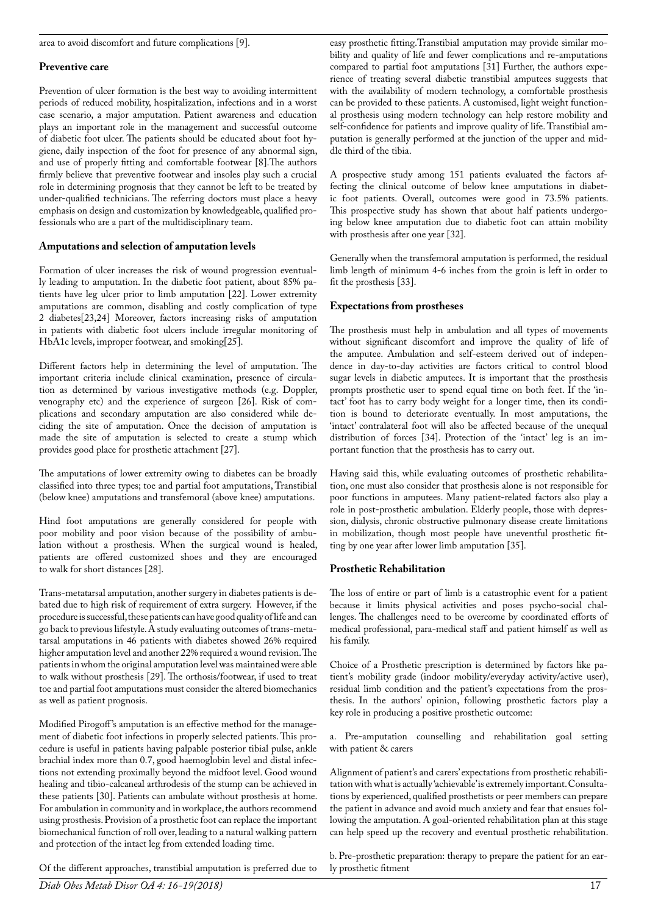area to avoid discomfort and future complications [9].

#### **Preventive care**

Prevention of ulcer formation is the best way to avoiding intermittent periods of reduced mobility, hospitalization, infections and in a worst case scenario, a major amputation. Patient awareness and education plays an important role in the management and successful outcome of diabetic foot ulcer. The patients should be educated about foot hygiene, daily inspection of the foot for presence of any abnormal sign, and use of properly fitting and comfortable footwear [8].The authors firmly believe that preventive footwear and insoles play such a crucial role in determining prognosis that they cannot be left to be treated by under-qualified technicians. The referring doctors must place a heavy emphasis on design and customization by knowledgeable, qualified professionals who are a part of the multidisciplinary team.

## **Amputations and selection of amputation levels**

Formation of ulcer increases the risk of wound progression eventually leading to amputation. In the diabetic foot patient, about 85% patients have leg ulcer prior to limb amputation [22]. Lower extremity amputations are common, disabling and costly complication of type 2 diabetes[23,24] Moreover, factors increasing risks of amputation in patients with diabetic foot ulcers include irregular monitoring of HbA1c levels, improper footwear, and smoking[25].

Different factors help in determining the level of amputation. The important criteria include clinical examination, presence of circulation as determined by various investigative methods (e.g. Doppler, venography etc) and the experience of surgeon [26]. Risk of complications and secondary amputation are also considered while deciding the site of amputation. Once the decision of amputation is made the site of amputation is selected to create a stump which provides good place for prosthetic attachment [27].

The amputations of lower extremity owing to diabetes can be broadly classified into three types; toe and partial foot amputations, Transtibial (below knee) amputations and transfemoral (above knee) amputations.

Hind foot amputations are generally considered for people with poor mobility and poor vision because of the possibility of ambulation without a prosthesis. When the surgical wound is healed, patients are offered customized shoes and they are encouraged to walk for short distances [28].

Trans-metatarsal amputation, another surgery in diabetes patients is debated due to high risk of requirement of extra surgery. However, if the procedure is successful, these patients can have good quality of life and can go back to previous lifestyle. A study evaluating outcomes of trans-metatarsal amputations in 46 patients with diabetes showed 26% required higher amputation level and another 22% required a wound revision. The patients in whom the original amputation level was maintained were able to walk without prosthesis [29]. The orthosis/footwear, if used to treat toe and partial foot amputations must consider the altered biomechanics as well as patient prognosis.

Modified Pirogoff 's amputation is an effective method for the management of diabetic foot infections in properly selected patients. This procedure is useful in patients having palpable posterior tibial pulse, ankle brachial index more than 0.7, good haemoglobin level and distal infections not extending proximally beyond the midfoot level. Good wound healing and tibio-calcaneal arthrodesis of the stump can be achieved in these patients [30]. Patients can ambulate without prosthesis at home. For ambulation in community and in workplace, the authors recommend using prosthesis. Provision of a prosthetic foot can replace the important biomechanical function of roll over, leading to a natural walking pattern and protection of the intact leg from extended loading time.

Of the different approaches, transtibial amputation is preferred due to

easy prosthetic fitting.Transtibial amputation may provide similar mobility and quality of life and fewer complications and re-amputations compared to partial foot amputations [31] Further, the authors experience of treating several diabetic transtibial amputees suggests that with the availability of modern technology, a comfortable prosthesis can be provided to these patients. A customised, light weight functional prosthesis using modern technology can help restore mobility and self-confidence for patients and improve quality of life. Transtibial amputation is generally performed at the junction of the upper and middle third of the tibia.

A prospective study among 151 patients evaluated the factors affecting the clinical outcome of below knee amputations in diabetic foot patients. Overall, outcomes were good in 73.5% patients. This prospective study has shown that about half patients undergoing below knee amputation due to diabetic foot can attain mobility with prosthesis after one year [32].

Generally when the transfemoral amputation is performed, the residual limb length of minimum 4-6 inches from the groin is left in order to fit the prosthesis [33].

### **Expectations from prostheses**

The prosthesis must help in ambulation and all types of movements without significant discomfort and improve the quality of life of the amputee. Ambulation and self-esteem derived out of independence in day-to-day activities are factors critical to control blood sugar levels in diabetic amputees. It is important that the prosthesis prompts prosthetic user to spend equal time on both feet. If the 'intact' foot has to carry body weight for a longer time, then its condition is bound to deteriorate eventually. In most amputations, the 'intact' contralateral foot will also be affected because of the unequal distribution of forces [34]. Protection of the 'intact' leg is an important function that the prosthesis has to carry out.

Having said this, while evaluating outcomes of prosthetic rehabilitation, one must also consider that prosthesis alone is not responsible for poor functions in amputees. Many patient-related factors also play a role in post-prosthetic ambulation. Elderly people, those with depression, dialysis, chronic obstructive pulmonary disease create limitations in mobilization, though most people have uneventful prosthetic fitting by one year after lower limb amputation [35].

#### **Prosthetic Rehabilitation**

The loss of entire or part of limb is a catastrophic event for a patient because it limits physical activities and poses psycho-social challenges. The challenges need to be overcome by coordinated efforts of medical professional, para-medical staff and patient himself as well as his family.

Choice of a Prosthetic prescription is determined by factors like patient's mobility grade (indoor mobility/everyday activity/active user), residual limb condition and the patient's expectations from the prosthesis. In the authors' opinion, following prosthetic factors play a key role in producing a positive prosthetic outcome:

a. Pre-amputation counselling and rehabilitation goal setting with patient & carers

Alignment of patient's and carers' expectations from prosthetic rehabilitation with what is actually 'achievable' is extremely important. Consultations by experienced, qualified prosthetists or peer members can prepare the patient in advance and avoid much anxiety and fear that ensues following the amputation. A goal-oriented rehabilitation plan at this stage can help speed up the recovery and eventual prosthetic rehabilitation.

b. Pre-prosthetic preparation: therapy to prepare the patient for an early prosthetic fitment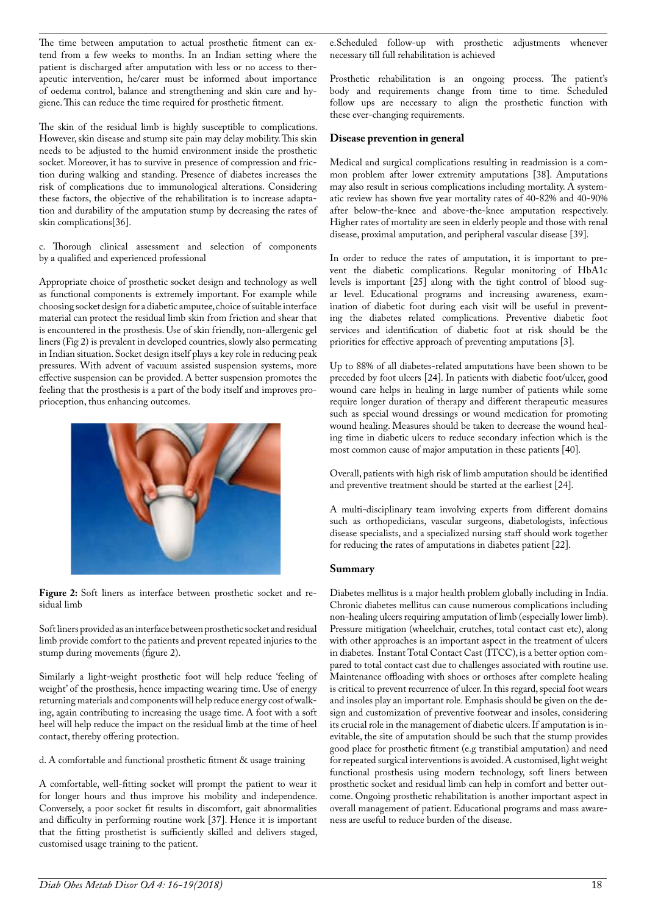The time between amputation to actual prosthetic fitment can extend from a few weeks to months. In an Indian setting where the patient is discharged after amputation with less or no access to therapeutic intervention, he/carer must be informed about importance of oedema control, balance and strengthening and skin care and hygiene. This can reduce the time required for prosthetic fitment.

The skin of the residual limb is highly susceptible to complications. However, skin disease and stump site pain may delay mobility. This skin needs to be adjusted to the humid environment inside the prosthetic socket. Moreover, it has to survive in presence of compression and friction during walking and standing. Presence of diabetes increases the risk of complications due to immunological alterations. Considering these factors, the objective of the rehabilitation is to increase adaptation and durability of the amputation stump by decreasing the rates of skin complications[36].

c. Thorough clinical assessment and selection of components by a qualified and experienced professional

Appropriate choice of prosthetic socket design and technology as well as functional components is extremely important. For example while choosing socket design for a diabetic amputee, choice of suitable interface material can protect the residual limb skin from friction and shear that is encountered in the prosthesis. Use of skin friendly, non-allergenic gel liners (Fig 2) is prevalent in developed countries, slowly also permeating in Indian situation. Socket design itself plays a key role in reducing peak pressures. With advent of vacuum assisted suspension systems, more effective suspension can be provided. A better suspension promotes the feeling that the prosthesis is a part of the body itself and improves proprioception, thus enhancing outcomes.



**Figure 2:** Soft liners as interface between prosthetic socket and residual limb

Soft liners provided as an interface between prosthetic socket and residual limb provide comfort to the patients and prevent repeated injuries to the stump during movements (figure 2).

Similarly a light-weight prosthetic foot will help reduce 'feeling of weight' of the prosthesis, hence impacting wearing time. Use of energy returning materials and components will help reduce energy cost of walking, again contributing to increasing the usage time. A foot with a soft heel will help reduce the impact on the residual limb at the time of heel contact, thereby offering protection.

d. A comfortable and functional prosthetic fitment & usage training

A comfortable, well-fitting socket will prompt the patient to wear it for longer hours and thus improve his mobility and independence. Conversely, a poor socket fit results in discomfort, gait abnormalities and difficulty in performing routine work [37]. Hence it is important that the fitting prosthetist is sufficiently skilled and delivers staged, customised usage training to the patient.

e.Scheduled follow-up with prosthetic adjustments whenever necessary till full rehabilitation is achieved

Prosthetic rehabilitation is an ongoing process. The patient's body and requirements change from time to time. Scheduled follow ups are necessary to align the prosthetic function with these ever-changing requirements.

#### **Disease prevention in general**

Medical and surgical complications resulting in readmission is a common problem after lower extremity amputations [38]. Amputations may also result in serious complications including mortality. A systematic review has shown five year mortality rates of 40-82% and 40-90% after below-the-knee and above-the-knee amputation respectively. Higher rates of mortality are seen in elderly people and those with renal disease, proximal amputation, and peripheral vascular disease [39].

In order to reduce the rates of amputation, it is important to prevent the diabetic complications. Regular monitoring of HbA1c levels is important [25] along with the tight control of blood sugar level. Educational programs and increasing awareness, examination of diabetic foot during each visit will be useful in preventing the diabetes related complications. Preventive diabetic foot services and identification of diabetic foot at risk should be the priorities for effective approach of preventing amputations [3].

Up to 88% of all diabetes-related amputations have been shown to be preceded by foot ulcers [24]. In patients with diabetic foot/ulcer, good wound care helps in healing in large number of patients while some require longer duration of therapy and different therapeutic measures such as special wound dressings or wound medication for promoting wound healing. Measures should be taken to decrease the wound healing time in diabetic ulcers to reduce secondary infection which is the most common cause of major amputation in these patients [40].

Overall, patients with high risk of limb amputation should be identified and preventive treatment should be started at the earliest [24].

A multi-disciplinary team involving experts from different domains such as orthopedicians, vascular surgeons, diabetologists, infectious disease specialists, and a specialized nursing staff should work together for reducing the rates of amputations in diabetes patient [22].

## **Summary**

Diabetes mellitus is a major health problem globally including in India. Chronic diabetes mellitus can cause numerous complications including non-healing ulcers requiring amputation of limb (especially lower limb). Pressure mitigation (wheelchair, crutches, total contact cast etc), along with other approaches is an important aspect in the treatment of ulcers in diabetes. Instant Total Contact Cast (ITCC), is a better option compared to total contact cast due to challenges associated with routine use. Maintenance offloading with shoes or orthoses after complete healing is critical to prevent recurrence of ulcer. In this regard, special foot wears and insoles play an important role. Emphasis should be given on the design and customization of preventive footwear and insoles, considering its crucial role in the management of diabetic ulcers. If amputation is inevitable, the site of amputation should be such that the stump provides good place for prosthetic fitment (e.g transtibial amputation) and need for repeated surgical interventions is avoided. A customised, light weight functional prosthesis using modern technology, soft liners between prosthetic socket and residual limb can help in comfort and better outcome. Ongoing prosthetic rehabilitation is another important aspect in overall management of patient. Educational programs and mass awareness are useful to reduce burden of the disease.